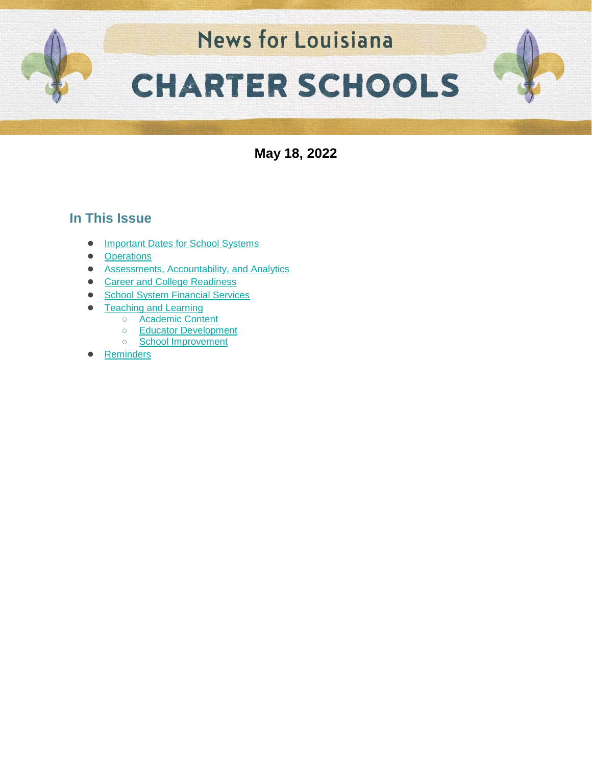

**May 18, 2022**

## **In This Issue**

- [Important Dates for School Systems](#page-1-0)
- [Operations](#page-2-0)
- [Assessments, Accountability, and Analytics](#page-3-0)
- [Career and College Readiness](#page-5-0)
- [School System Financial Services](#page-6-0)
- **[Teaching and Learning](#page-7-0)** 
	- [Academic Content](#page-15-0)
	- [Educator Development](#page-15-1)
	- [School Improvement](#page-11-0)
- **[Reminders](#page-12-0)**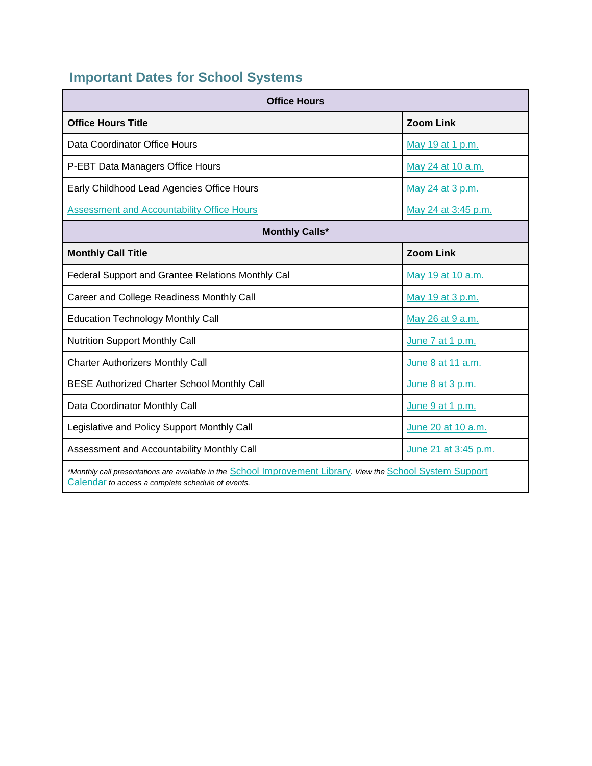# <span id="page-1-0"></span>**Important Dates for School Systems**

| <b>Office Hours</b>                                                                                                                                              |                      |  |  |
|------------------------------------------------------------------------------------------------------------------------------------------------------------------|----------------------|--|--|
| <b>Office Hours Title</b>                                                                                                                                        | <b>Zoom Link</b>     |  |  |
| Data Coordinator Office Hours                                                                                                                                    | May 19 at 1 p.m.     |  |  |
| P-EBT Data Managers Office Hours                                                                                                                                 | May 24 at 10 a.m.    |  |  |
| Early Childhood Lead Agencies Office Hours                                                                                                                       | May 24 at 3 p.m.     |  |  |
| <b>Assessment and Accountability Office Hours</b>                                                                                                                | May 24 at 3:45 p.m.  |  |  |
| <b>Monthly Calls*</b>                                                                                                                                            |                      |  |  |
| <b>Monthly Call Title</b>                                                                                                                                        | <b>Zoom Link</b>     |  |  |
| Federal Support and Grantee Relations Monthly Cal                                                                                                                | May 19 at 10 a.m.    |  |  |
| Career and College Readiness Monthly Call                                                                                                                        | May 19 at 3 p.m.     |  |  |
| <b>Education Technology Monthly Call</b>                                                                                                                         | May 26 at 9 a.m.     |  |  |
| <b>Nutrition Support Monthly Call</b>                                                                                                                            | June 7 at 1 p.m.     |  |  |
| <b>Charter Authorizers Monthly Call</b>                                                                                                                          | June 8 at 11 a.m.    |  |  |
| <b>BESE Authorized Charter School Monthly Call</b>                                                                                                               | June 8 at 3 p.m.     |  |  |
| Data Coordinator Monthly Call                                                                                                                                    | June 9 at 1 p.m.     |  |  |
| Legislative and Policy Support Monthly Call                                                                                                                      | June 20 at 10 a.m.   |  |  |
| Assessment and Accountability Monthly Call                                                                                                                       | June 21 at 3:45 p.m. |  |  |
| *Monthly call presentations are available in the School Improvement Library. View the School System Support<br>Calendar to access a complete schedule of events. |                      |  |  |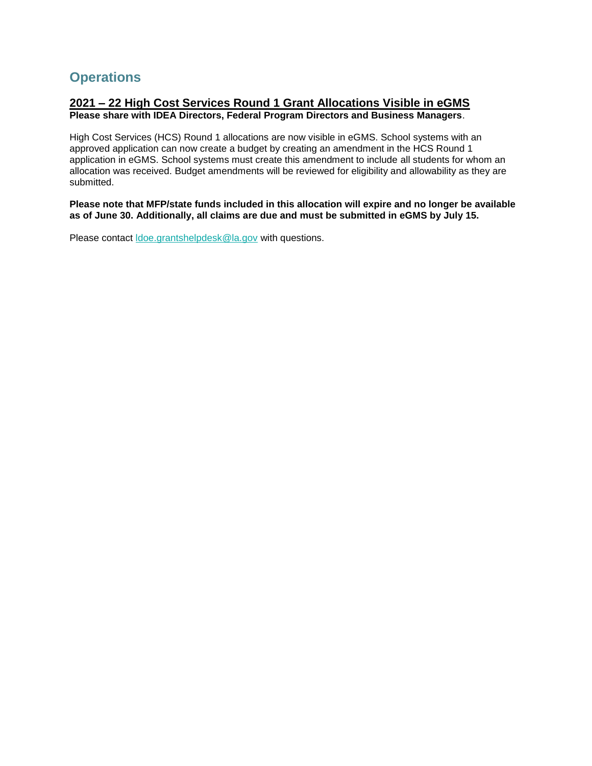## <span id="page-2-0"></span>**Operations**

#### **2021 – 22 High Cost Services Round 1 Grant Allocations Visible in eGMS Please share with IDEA Directors, Federal Program Directors and Business Managers**.

High Cost Services (HCS) Round 1 allocations are now visible in eGMS. School systems with an approved application can now create a budget by creating an amendment in the HCS Round 1 application in eGMS. School systems must create this amendment to include all students for whom an allocation was received. Budget amendments will be reviewed for eligibility and allowability as they are submitted.

**Please note that MFP/state funds included in this allocation will expire and no longer be available as of June 30. Additionally, all claims are due and must be submitted in eGMS by July 15.**

Please contact [ldoe.grantshelpdesk@la.gov](mailto:ldoe.grantshelpdesk@la.gov) with questions.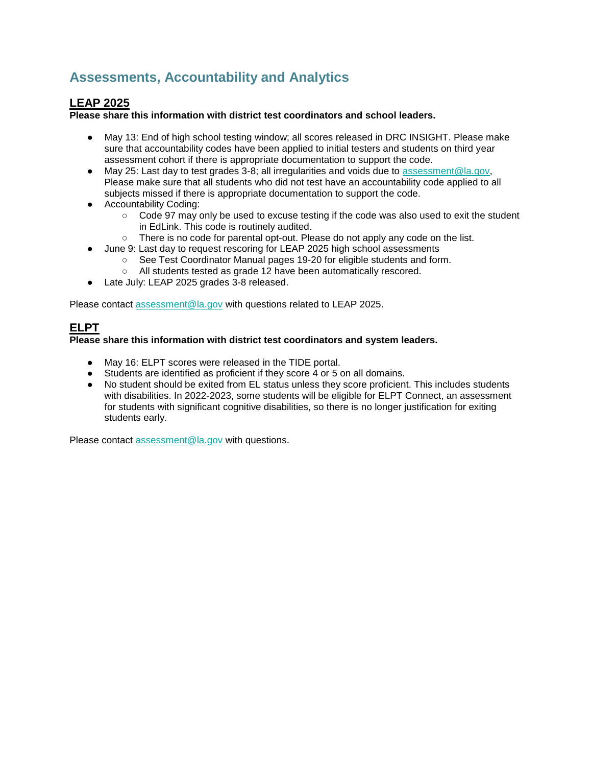## <span id="page-3-0"></span>**Assessments, Accountability and Analytics**

### **LEAP 2025**

**Please share this information with district test coordinators and school leaders.**

- May 13: End of high school testing window; all scores released in DRC INSIGHT. Please make sure that accountability codes have been applied to initial testers and students on third year assessment cohort if there is appropriate documentation to support the code.
- May 25: Last day to test grades 3-8; all irregularities and voids due to [assessment@la.gov,](mailto:assessment@la.gov) Please make sure that all students who did not test have an accountability code applied to all subjects missed if there is appropriate documentation to support the code.
- Accountability Coding:
	- Code 97 may only be used to excuse testing if the code was also used to exit the student in EdLink. This code is routinely audited.
	- There is no code for parental opt-out. Please do not apply any code on the list.
- June 9: Last day to request rescoring for LEAP 2025 high school assessments
	- See Test Coordinator Manual pages 19-20 for eligible students and form.
	- All students tested as grade 12 have been automatically rescored.
- Late July: LEAP 2025 grades 3-8 released.

Please contact [assessment@la.gov](mailto:assessment@la.gov) with questions related to LEAP 2025.

## **ELPT**

#### **Please share this information with district test coordinators and system leaders.**

- May 16: ELPT scores were released in the TIDE portal.
- Students are identified as proficient if they score 4 or 5 on all domains.
- No student should be exited from EL status unless they score proficient. This includes students with disabilities. In 2022-2023, some students will be eligible for ELPT Connect, an assessment for students with significant cognitive disabilities, so there is no longer justification for exiting students early.

Please contact [assessment@la.gov](mailto:assessment@la.gov) with questions.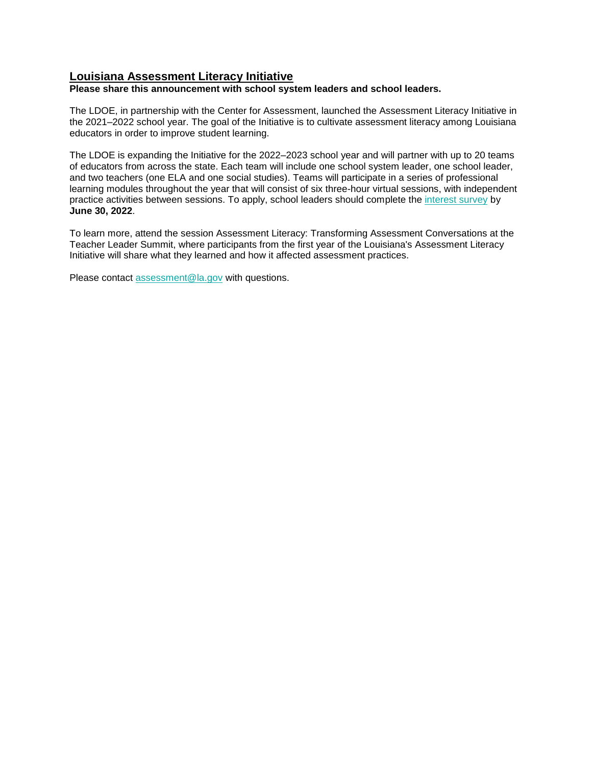#### **Louisiana Assessment Literacy Initiative**

**Please share this announcement with school system leaders and school leaders.**

The LDOE, in partnership with the Center for Assessment, launched the Assessment Literacy Initiative in the 2021–2022 school year. The goal of the Initiative is to cultivate assessment literacy among Louisiana educators in order to improve student learning.

The LDOE is expanding the Initiative for the 2022–2023 school year and will partner with up to 20 teams of educators from across the state. Each team will include one school system leader, one school leader, and two teachers (one ELA and one social studies). Teams will participate in a series of professional learning modules throughout the year that will consist of six three-hour virtual sessions, with independent practice activities between sessions. To apply, school leaders should complete th[e](https://docs.google.com/forms/d/e/1FAIpQLSc8wPVFqk3Qb062CCda0bGbANSellkZSzrizltgLqMdvPPreQ/viewform?usp=sf_link) [interest survey](https://docs.google.com/forms/d/e/1FAIpQLSc8wPVFqk3Qb062CCda0bGbANSellkZSzrizltgLqMdvPPreQ/viewform?usp=sf_link) by **June 30, 2022**.

To learn more, attend the session Assessment Literacy: Transforming Assessment Conversations at the Teacher Leader Summit, where participants from the first year of the Louisiana's Assessment Literacy Initiative will share what they learned and how it affected assessment practices.

Please contact [assessment@la.gov](mailto:assessment@la.gov) with questions.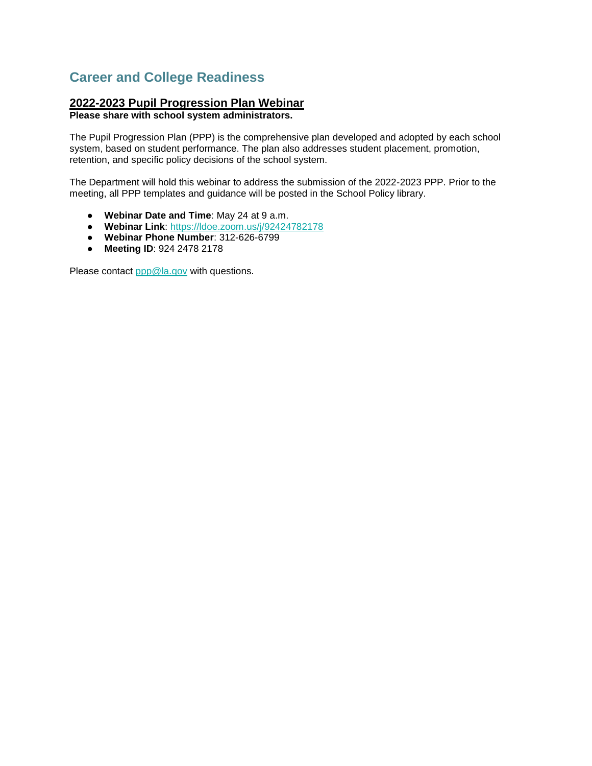## <span id="page-5-0"></span>**Career and College Readiness**

#### **2022-2023 Pupil Progression Plan Webinar**

**Please share with school system administrators.**

The Pupil Progression Plan (PPP) is the comprehensive plan developed and adopted by each school system, based on student performance. The plan also addresses student placement, promotion, retention, and specific policy decisions of the school system.

The Department will hold this webinar to address the submission of the 2022-2023 PPP. Prior to the meeting, all PPP templates and guidance will be posted in the School Policy library.

- **Webinar Date and Time**: May 24 at 9 a.m.
- **Webinar Link**: [https://ldoe.zoom.us/j/92424782178](https://ldoe.zoom.us/j/92424782178?pwd=M281V1ZXdElaTHNUcnRtaWxBbE5WZz09)
- **Webinar Phone Number**: 312-626-6799
- **Meeting ID**: 924 2478 2178

Please contact [ppp@la.gov](mailto:ppp@la.gov) with questions.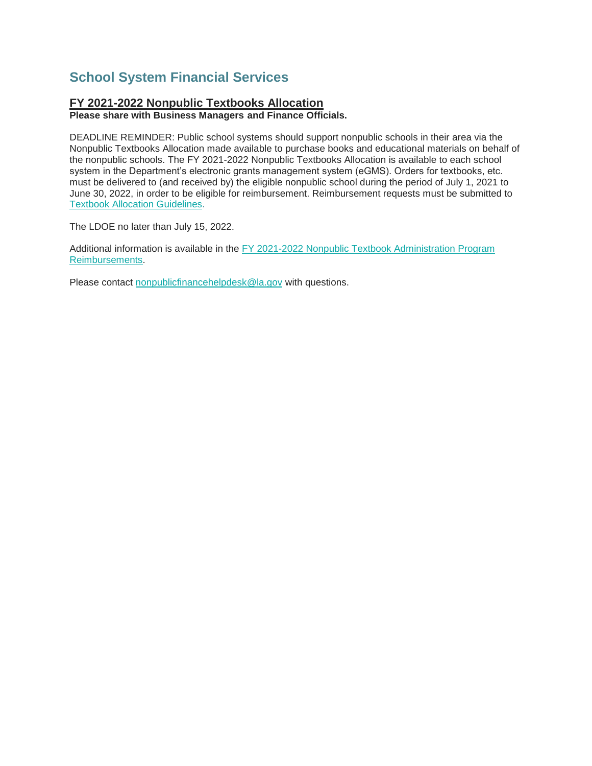## <span id="page-6-0"></span>**School System Financial Services**

### **FY 2021-2022 Nonpublic Textbooks Allocation**

**Please share with Business Managers and Finance Officials.**

DEADLINE REMINDER: Public school systems should support nonpublic schools in their area via the Nonpublic Textbooks Allocation made available to purchase books and educational materials on behalf of the nonpublic schools. The FY 2021-2022 Nonpublic Textbooks Allocation is available to each school system in the Department's electronic grants management system (eGMS). Orders for textbooks, etc. must be delivered to (and received by) the eligible nonpublic school during the period of July 1, 2021 to June 30, 2022, in order to be eligible for reimbursement. Reimbursement requests must be submitted to [Textbook Allocation Guidelines.](https://www.louisianabelieves.com/docs/default-source/links-for-newsletters/fy2021-22-nonpublic-textbook-allocation-guidelines-for-leas.pdf)

The LDOE no later than July 15, 2022.

Additional information is available in the FY 2021-2022 Nonpublic Textbook Administration Program [Reimbursements.](https://www.louisianabelieves.com/docs/default-source/links-for-newsletters/fy2021-22-nonpublic-textbook-allocation-guidelines-for-leas.pdf)

Please contact [nonpublicfinancehelpdesk@la.gov](mailto:nonpublicfinancehelpdesk@la.gov) with questions.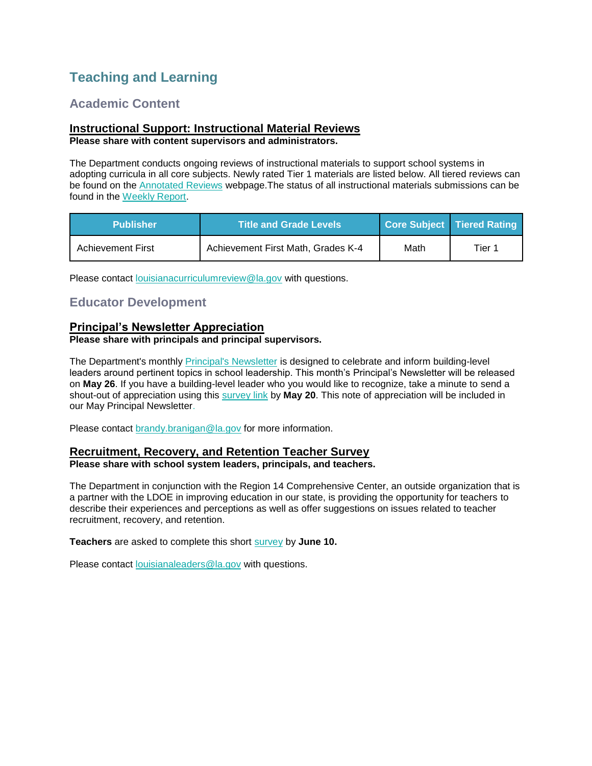## <span id="page-7-0"></span>**Teaching and Learning**

## **Academic Content**

#### **Instructional Support: Instructional Material Reviews Please share with content supervisors and administrators.**

The Department conducts ongoing reviews of instructional materials to support school systems in adopting curricula in all core subjects. Newly rated Tier 1 materials are listed below. All tiered reviews can be found on the [Annotated Reviews](http://www.louisianabelieves.com/academics/ONLINE-INSTRUCTIONAL-MATERIALS-REVIEWS/curricular-resources-annotated-reviews) webpage.The status of all instructional materials submissions can be found in the [Weekly Report.](https://www.louisianabelieves.com/docs/default-source/curricular-resources/online-instructional-materials-reviews.pdf?sfvrsn=a26b841f_654)

| <b>Publisher</b>         | <b>Title and Grade Levels</b>      |      | Core Subject Tiered Rating |
|--------------------------|------------------------------------|------|----------------------------|
| <b>Achievement First</b> | Achievement First Math, Grades K-4 | Math | Tier 1                     |

Please contact [louisianacurriculumreview@la.gov](mailto:LouisianaCurriculumReview@la.gov) with questions.

## **Educator Development**

#### **Principal's Newsletter Appreciation**

#### **Please share with principals and principal supervisors.**

The Department's monthly **Principal's Newsletter** is designed to celebrate and inform building-level leaders around pertinent topics in school leadership. This month's Principal's Newsletter will be released on **May 26**. If you have a building-level leader who you would like to recognize, take a minute to send a shout-out of appreciation using this [survey link](https://forms.gle/azgHb6Tk9vLD4V5t8) by **May 20**. This note of appreciation will be included in our May Principal Newsletter.

Please contact [brandy.branigan@la.gov](mailto:brandy.branigan@la.gov) for more information.

#### **Recruitment, Recovery, and Retention Teacher Survey**

**Please share with school system leaders, principals, and teachers.**

The Department in conjunction with the Region 14 Comprehensive Center, an outside organization that is a partner with the LDOE in improving education in our state, is providing the opportunity for teachers to describe their experiences and perceptions as well as offer suggestions on issues related to teacher recruitment, recovery, and retention.

**Teachers** are asked to complete this short [survey](https://survey.alchemer.com/s3/6839519/Region-14-CC-Teacher-Recruitment-Retention-and-Recovery-Survey) by **June 10.**

Please contact [louisianaleaders@la.gov](mailto:louisianaleaders@la.gov) with questions.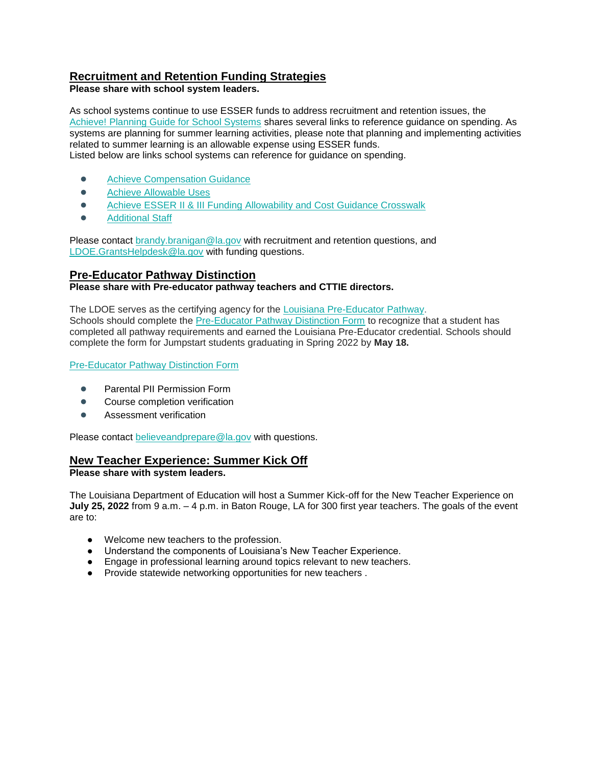### **Recruitment and Retention Funding Strategies**

**Please share with school system leaders.**

As school systems continue to use ESSER funds to address recruitment and retention issues, the [Achieve! Planning Guide for School Systems](https://www.louisianabelieves.com/docs/default-source/operations/achieve!-planning-guidance.pdf?sfvrsn=25d36718_24) shares several links to reference guidance on spending. As systems are planning for summer learning activities, please note that planning and implementing activities related to summer learning is an allowable expense using ESSER funds. Listed below are links school systems can reference for guidance on spending.

- - **[Achieve Compensation Guidance](https://www.louisianabelieves.com/docs/default-source/achieve/achieve!-compensation-guidance.pdf?sfvrsn=d4ce6718_8)**
	- Achieve Allowable Uses
	- Achieve ESSER II & III Funding Allowability and Cost Guidance Crosswalk
	- **[Additional Staff](https://www.louisianabelieves.com/docs/default-source/achieve/achieve!-hiring-investment-examples.pdf?sfvrsn=60fb6718_2)**

Please contact [brandy.branigan@la.gov](mailto:brandy.branigan@la.gov) with recruitment and retention questions, and [LDOE.GrantsHelpdesk@la.gov](mailto:LDOE.GrantsHelpdesk@la.gov) with funding questions.

### **Pre-Educator Pathway Distinction**

#### **Please share with Pre-educator pathway teachers and CTTIE directors.**

The LDOE serves as the certifying agency for the [Louisiana Pre-Educator Pathway.](https://www.louisianabelieves.com/docs/default-source/js-graduation-pathways/pre-educator-pathway-brief---louisiana-pre-educator-pathway.pdf?sfvrsn=7c549d1f_18) Schools should complete the [Pre-Educator Pathway Distinction Form](https://form.jotform.com/220096198837062) to recognize that a student has completed all pathway requirements and earned the Louisiana Pre-Educator credential. Schools should complete the form for Jumpstart students graduating in Spring 2022 by **May 18.**

[Pre-Educator Pathway Distinction Form](https://form.jotform.com/220096198837062) 

- Parental PII Permission Form
- Course completion verification
- Assessment verification

Please contact [believeandprepare@la.gov](mailto:believeandprepare@la.gov) with questions.

## **New Teacher Experience: Summer Kick Off**

**Please share with system leaders.**

The Louisiana Department of Education will host a Summer Kick-off for the New Teacher Experience on **July 25, 2022** from 9 a.m. – 4 p.m. in Baton Rouge, LA for 300 first year teachers. The goals of the event are to:

- Welcome new teachers to the profession.
- Understand the components of Louisiana's New Teacher Experience.
- Engage in professional learning around topics relevant to new teachers.
- Provide statewide networking opportunities for new teachers .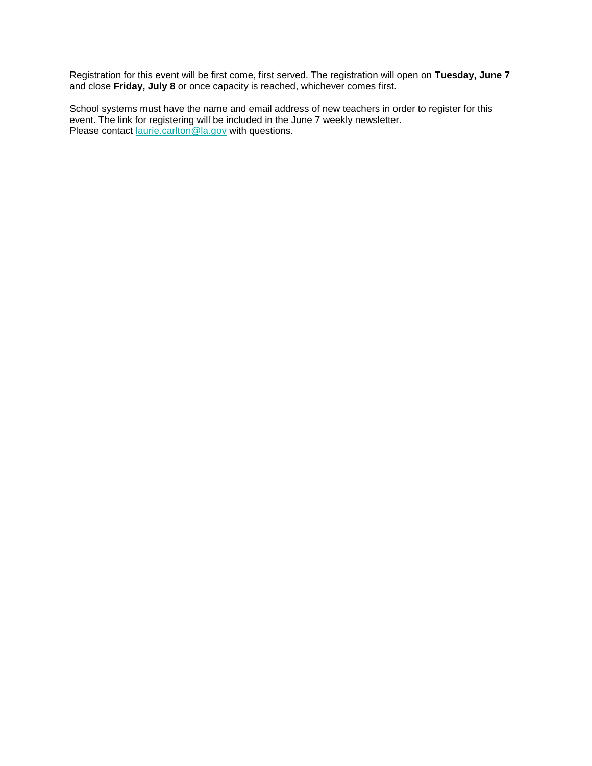Registration for this event will be first come, first served. The registration will open on **Tuesday, June 7**  and close **Friday, July 8** or once capacity is reached, whichever comes first.

School systems must have the name and email address of new teachers in order to register for this event. The link for registering will be included in the June 7 weekly newsletter. Please contact *[laurie.carlton@la.gov](mailto:laurie.carlton@la.gov)* with questions.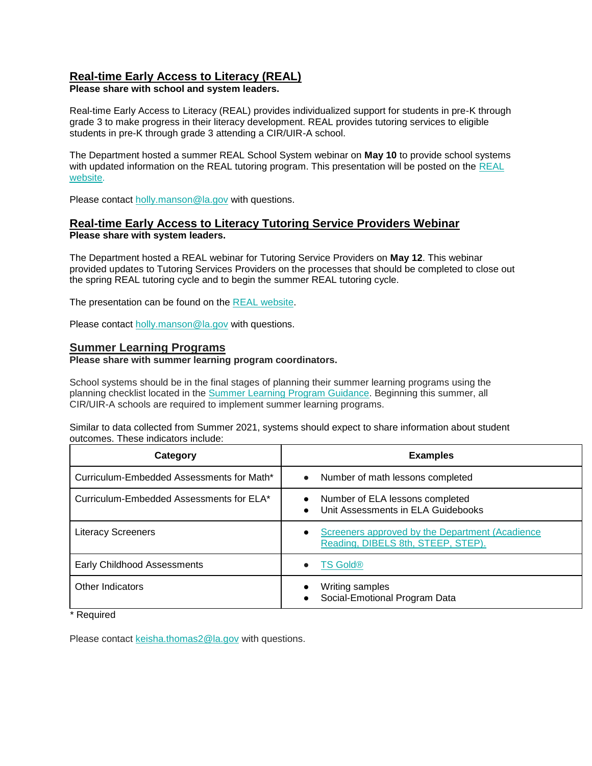### **Real-time Early Access to Literacy (REAL)**

**Please share with school and system leaders.**

Real-time Early Access to Literacy (REAL) provides individualized support for students in pre-K through grade 3 to make progress in their literacy development. REAL provides tutoring services to eligible students in pre-K through grade 3 attending a CIR/UIR-A school.

The Department hosted a summer REAL School System webinar on **May 10** to provide school systems with updated information on the [REAL](https://www.louisianabelieves.com/academics/real-time-early-access-to-literacy) tutoring program. This presentation will be posted on the REAL [website.](https://www.louisianabelieves.com/academics/real-time-early-access-to-literacy)

Please contact holly.manson@la.gov with questions.

#### **Real-time Early Access to Literacy Tutoring Service Providers Webinar Please share with system leaders.**

The Department hosted a REAL webinar for Tutoring Service Providers on **May 12**. This webinar provided updates to Tutoring Services Providers on the processes that should be completed to close out the spring REAL tutoring cycle and to begin the summer REAL tutoring cycle.

The presentation can be found on the [REAL website.](https://www.louisianabelieves.com/academics/real-time-early-access-to-literacy)

Please contact holly.manson@la.gov with questions.

#### **Summer Learning Programs**

**Please share with summer learning program coordinators.**

School systems should be in the final stages of planning their summer learning programs using the planning checklist located in the [Summer Learning Program Guidance.](https://www.louisianabelieves.com/docs/default-source/academics/summer-learning-program-guidance-2021.pdf?sfvrsn=9f5a6618_2) Beginning this summer, all CIR/UIR-A schools are required to implement summer learning programs.

Similar to data collected from Summer 2021, systems should expect to share information about student outcomes. These indicators include:

| Category                                  | <b>Examples</b>                                                                                 |
|-------------------------------------------|-------------------------------------------------------------------------------------------------|
| Curriculum-Embedded Assessments for Math* | Number of math lessons completed<br>$\bullet$                                                   |
| Curriculum-Embedded Assessments for ELA*  | Number of ELA lessons completed<br>$\bullet$<br>Unit Assessments in ELA Guidebooks<br>$\bullet$ |
| <b>Literacy Screeners</b>                 | Screeners approved by the Department (Acadience<br>Reading, DIBELS 8th, STEEP, STEP).           |
| Early Childhood Assessments               | $TS$ Gold $@$<br>$\bullet$                                                                      |
| Other Indicators                          | Writing samples<br>Social-Emotional Program Data                                                |

\* Required

Please contact [keisha.thomas2@la.gov](mailto:Keisha.Thomas2@la.gov) with questions.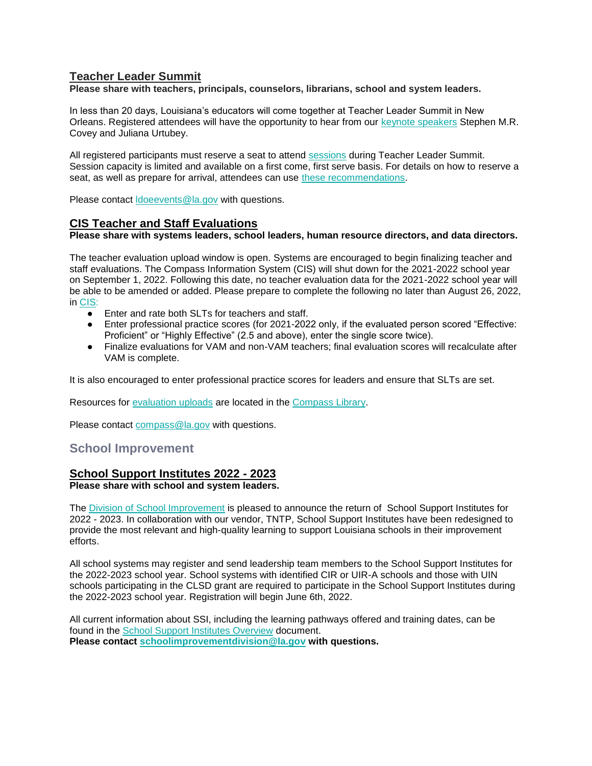### **Teacher Leader Summit**

**Please share with teachers, principals, counselors, librarians, school and system leaders.** 

In less than 20 days, Louisiana's educators will come together at Teacher Leader Summit in New Orleans. Registered attendees will have the opportunity to hear from our [keynote speakers](https://www.louisianabelieves.com/docs/default-source/2022-teacher-leader-summit/keynote-speakers---tl-summit-2022.pdf) Stephen M.R. Covey and Juliana Urtubey.

All registered participants must reserve a seat to attend [sessions](https://whova.com/embedded/event/i6u0jc%2FHaQPA8X9JKRdO22%2FvxgNOBGeJNdxPWRzFISM%3D/?utc_source=ems) during Teacher Leader Summit. Session capacity is limited and available on a first come, first serve basis. For details on how to reserve a seat, as well as prepare for arrival, attendees can use [these recommendations.](https://www.louisianabelieves.com/docs/default-source/2022-teacher-leader-summit/prepare-for-arrival---tl-summit-2022.pdf)

Please contact [ldoeevents@la.gov](mailto:LDOEevents@la.gov) with questions.

#### **CIS Teacher and Staff Evaluations**

**Please share with systems leaders, school leaders, human resource directors, and data directors.**

The teacher evaluation upload window is open. Systems are encouraged to begin finalizing teacher and staff evaluations. The Compass Information System (CIS) will shut down for the 2021-2022 school year on September 1, 2022. Following this date, no teacher evaluation data for the 2021-2022 school year will be able to be amended or added. Please prepare to complete the following no later than August 26, 2022, in [CIS:](https://leads13.doe.louisiana.gov/hcs/FrameWork.aspx)

- Enter and rate both SLTs for teachers and staff.
- Enter professional practice scores (for 2021-2022 only, if the evaluated person scored "Effective: Proficient" or "Highly Effective" (2.5 and above), enter the single score twice).
- Finalize evaluations for VAM and non-VAM teachers; final evaluation scores will recalculate after VAM is complete.

It is also encouraged to enter professional practice scores for leaders and ensure that SLTs are set.

Resources for [evaluation uploads](https://www.louisianabelieves.com/docs/default-source/teaching/compass-information-system-evaluation-upload-guide.pdf?sfvrsn=2c216718_8) are located in the [Compass Library.](https://www.louisianabelieves.com/resources/library/compass) 

Please contact [compass@la.gov](mailto:compass@la.gov) with questions.

#### <span id="page-11-0"></span>**School Improvement**

### **School Support Institutes 2022 - 2023**

#### **Please share with school and system leaders.**

The [Division of School Improvement](https://www.louisianabelieves.com/schools/school-improvement) is pleased to announce the return of School Support Institutes for 2022 - 2023. In collaboration with our vendor, TNTP, School Support Institutes have been redesigned to provide the most relevant and high-quality learning to support Louisiana schools in their improvement efforts.

All school systems may register and send leadership team members to the School Support Institutes for the 2022-2023 school year. School systems with identified CIR or UIR-A schools and those with UIN schools participating in the CLSD grant are required to participate in the School Support Institutes during the 2022-2023 school year. Registration will begin June 6th, 2022.

All current information about SSI, including the learning pathways offered and training dates, can be found in the [School Support Institutes Overview](https://www.louisianabelieves.com/docs/default-source/district-support/school-support-institutes-overview.pdf?sfvrsn=6f16991f_8) document. **Please contact [schoolimprovementdivision@la.gov](mailto:schoolimprovementdivision@la.gov) with questions.**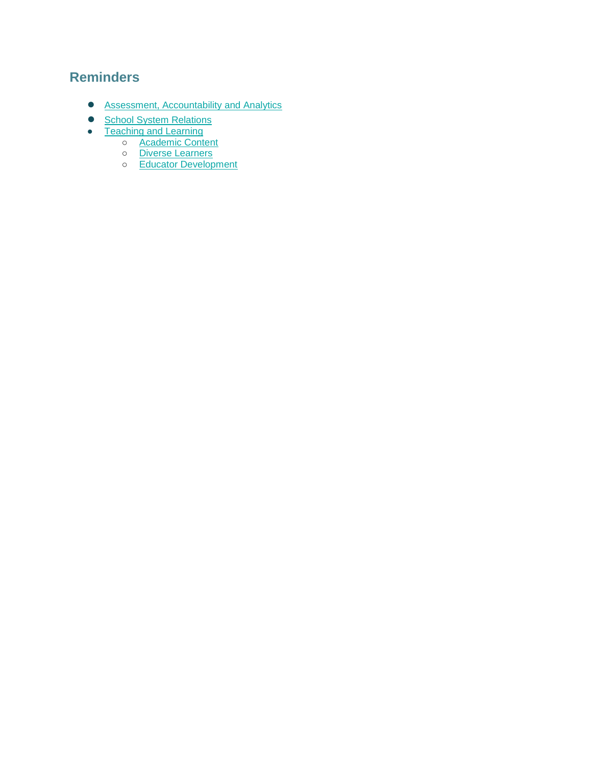## <span id="page-12-0"></span>**Reminders**

- **[Assessment, Accountability and Analytics](#page-13-0)**
- [School System Relations](#page-14-0)
- [Teaching and Learning](#page-15-2)
	- o **[Academic Content](#page-15-0)**
	- o [Diverse Learners](#page-15-3)
	- o [Educator Development](#page-15-1)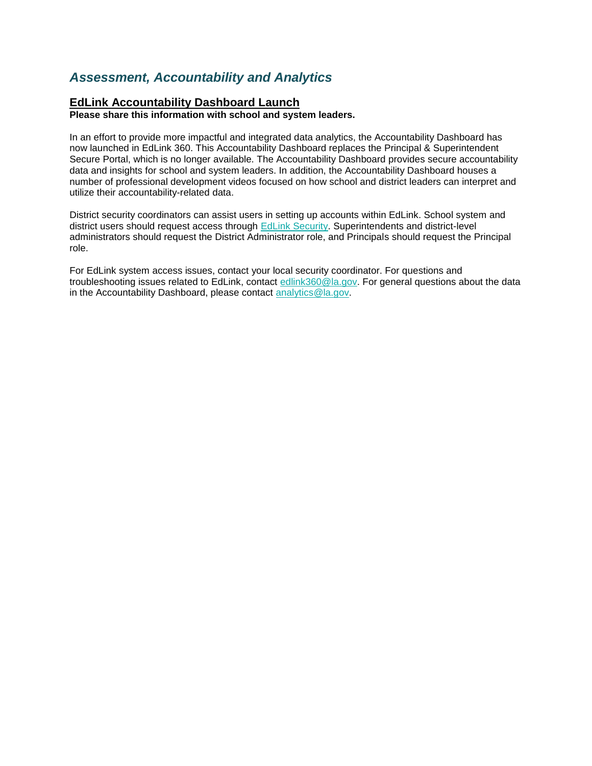## <span id="page-13-0"></span>*Assessment, Accountability and Analytics*

#### **EdLink Accountability Dashboard Launch**

**Please share this information with school and system leaders.**

In an effort to provide more impactful and integrated data analytics, the Accountability Dashboard has now launched in EdLink 360. This Accountability Dashboard replaces the Principal & Superintendent Secure Portal, which is no longer available. The Accountability Dashboard provides secure accountability data and insights for school and system leaders. In addition, the Accountability Dashboard houses a number of professional development videos focused on how school and district leaders can interpret and utilize their accountability-related data.

District security coordinators can assist users in setting up accounts within EdLink. School system and district users should request access through [EdLink Security.](https://leads13.doe.louisiana.gov/lug/Security-EdLink/EdLinkSecurity.htm) Superintendents and district-level administrators should request the District Administrator role, and Principals should request the Principal role.

For EdLink system access issues, contact your local security coordinator. For questions and troubleshooting issues related to EdLink, contact [edlink360@la.gov.](mailto:edlink360@la.gov) For general questions about the data in the Accountability Dashboard, please contact [analytics@la.gov.](mailto:analytics@la.gov)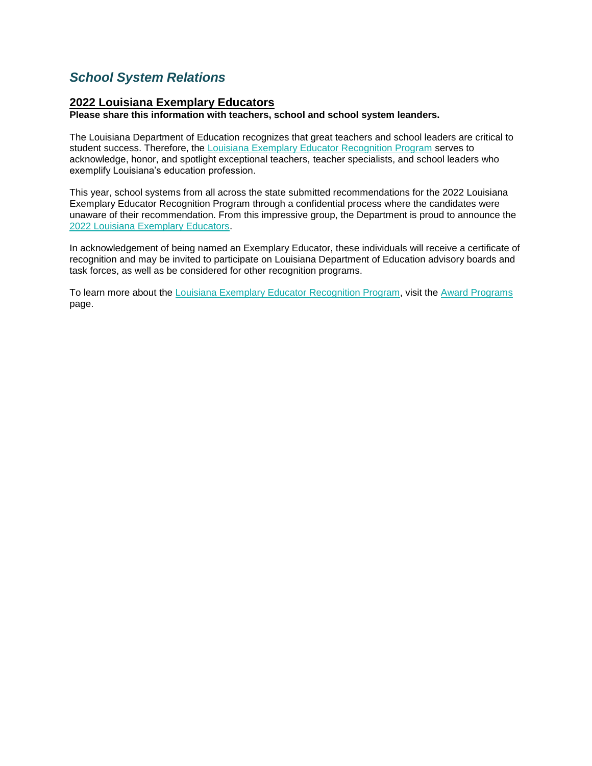## <span id="page-14-0"></span>*School System Relations*

#### **2022 Louisiana Exemplary Educators**

**Please share this information with teachers, school and school system leanders.**

The Louisiana Department of Education recognizes that great teachers and school leaders are critical to student success. Therefore, the [Louisiana Exemplary Educator Recognition Program](https://www.louisianabelieves.com/docs/default-source/key-initiatives/louisiana) serves to acknowledge, honor, and spotlight exceptional teachers, teacher specialists, and school leaders who exemplify Louisiana's education profession.

This year, school systems from all across the state submitted recommendations for the 2022 Louisiana Exemplary Educator Recognition Program through a confidential process where the candidates were unaware of their recommendation. From this impressive group, the Department is proud to announce the [2022 Louisiana Exemplary Educators.](https://www.louisianabelieves.com/docs/default-source/awards/2022-louisiana-exemplary-educators-announcement.pdf)

In acknowledgement of being named an Exemplary Educator, these individuals will receive a certificate of recognition and may be invited to participate on Louisiana Department of Education advisory boards and task forces, as well as be considered for other recognition programs.

To learn more about the [Louisiana Exemplary Educator](https://www.louisianabelieves.com/docs/default-source/key-initiatives/louisiana) Recognition Program, visit the [Award Programs](https://www.louisianabelieves.com/academics/award-programs) page.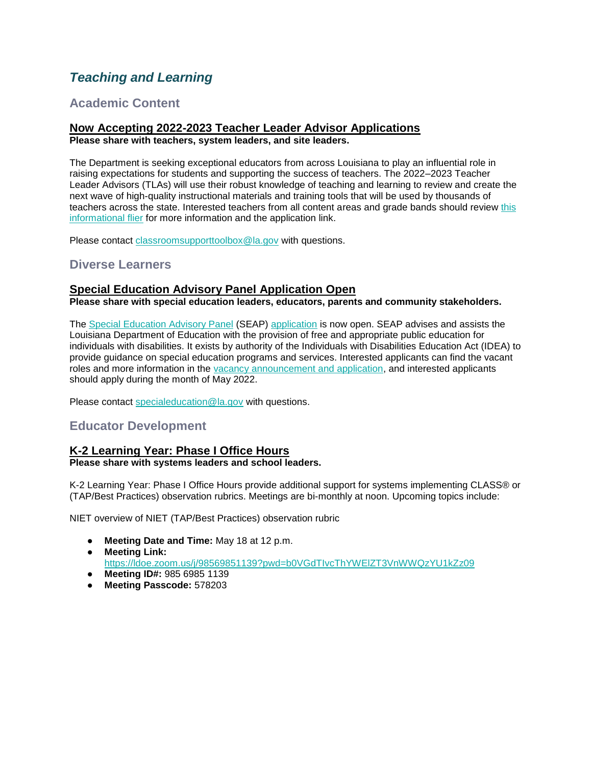## <span id="page-15-2"></span>*Teaching and Learning*

## <span id="page-15-0"></span>**Academic Content**

## **Now Accepting 2022-2023 Teacher Leader Advisor Applications**

**Please share with teachers, system leaders, and site leaders.**

The Department is seeking exceptional educators from across Louisiana to play an influential role in raising expectations for students and supporting the success of teachers. The 2022–2023 Teacher Leader Advisors (TLAs) will use their robust knowledge of teaching and learning to review and create the next wave of high-quality instructional materials and training tools that will be used by thousands of teachers across the state. Interested teachers from all content areas and grade bands should review [this](https://www.louisianabelieves.com/docs/default-source/louisiana-teacher-leaders/teacher-leader-advisor-flyer.pdf)  [informational flier](https://www.louisianabelieves.com/docs/default-source/louisiana-teacher-leaders/teacher-leader-advisor-flyer.pdf) for more information and the application link.

Please contact [classroomsupporttoolbox@la.gov](mailto:ClassroomSupportToolbox@la.gov) with questions.

## <span id="page-15-3"></span>**Diverse Learners**

### **Special Education Advisory Panel Application Open**

**Please share with special education leaders, educators, parents and community stakeholders.**

The [Special Education Advisory Panel](https://www.louisianabelieves.com/docs/default-source/academics/special-education-advisory-panel-(seap)-overview.pdf?sfvrsn=8bfd891f_42) (SEAP) [application](https://www.louisianabelieves.com/docs/default-source/students-with-disabilities/seap-member-vacancy-announcement-and-application.pdf?sfvrsn=4ea76618_12) is now open. SEAP advises and assists the Louisiana Department of Education with the provision of free and appropriate public education for individuals with disabilities. It exists by authority of the Individuals with Disabilities Education Act (IDEA) to provide guidance on special education programs and services. Interested applicants can find the vacant roles and more information in the [vacancy announcement and application,](https://www.louisianabelieves.com/docs/default-source/students-with-disabilities/seap-member-vacancy-announcement-and-application.pdf?sfvrsn=4ea76618_12) and interested applicants should apply during the month of May 2022.

Please contact [specialeducation@la.gov](mailto:specialeducation@la.gov) with questions.

## <span id="page-15-1"></span>**Educator Development**

### **K-2 Learning Year: Phase I Office Hours**

#### **Please share with systems leaders and school leaders.**

K-2 Learning Year: Phase I Office Hours provide additional support for systems implementing CLASS® or (TAP/Best Practices) observation rubrics. Meetings are bi-monthly at noon. Upcoming topics include:

NIET overview of NIET (TAP/Best Practices) observation rubric

- **Meeting Date and Time:** May 18 at 12 p.m.
- **Meeting Link:**

<https://ldoe.zoom.us/j/98569851139?pwd=b0VGdTIvcThYWElZT3VnWWQzYU1kZz09>

- **Meeting ID#:** 985 6985 1139
- **Meeting Passcode:** 578203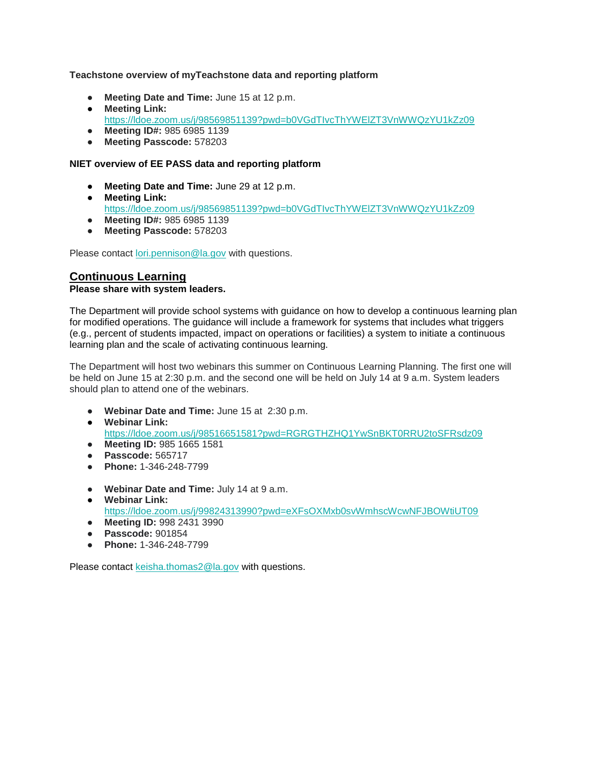#### **Teachstone overview of myTeachstone data and reporting platform**

- **Meeting Date and Time:** June 15 at 12 p.m.
- **Meeting Link:**  <https://ldoe.zoom.us/j/98569851139?pwd=b0VGdTIvcThYWElZT3VnWWQzYU1kZz09>
- **Meeting ID#:** 985 6985 1139
- **Meeting Passcode:** 578203

#### **NIET overview of EE PASS data and reporting platform**

- **Meeting Date and Time:** June 29 at 12 p.m.
- **Meeting Link:**  <https://ldoe.zoom.us/j/98569851139?pwd=b0VGdTIvcThYWElZT3VnWWQzYU1kZz09> ● **Meeting ID#:** 985 6985 1139
- **Meeting Passcode:** 578203

Please contact [lori.pennison@la.gov](mailto:lori.pennison@la.gov) with questions.

#### **Continuous Learning Please share with system leaders.**

The Department will provide school systems with guidance on how to develop a continuous learning plan for modified operations. The guidance will include a framework for systems that includes what triggers (e.g., percent of students impacted, impact on operations or facilities) a system to initiate a continuous learning plan and the scale of activating continuous learning.

The Department will host two webinars this summer on Continuous Learning Planning. The first one will be held on June 15 at 2:30 p.m. and the second one will be held on July 14 at 9 a.m. System leaders should plan to attend one of the webinars.

- **Webinar Date and Time:** June 15 at 2:30 p.m.
- **Webinar Link[:](https://ldoe.zoom.us/j/98516651581?pwd=RGRGTHZHQ1YwSnBKT0RRU2toSFRsdz09)** <https://ldoe.zoom.us/j/98516651581?pwd=RGRGTHZHQ1YwSnBKT0RRU2toSFRsdz09>
- **Meeting ID:** 985 1665 1581
- **Passcode:** 565717
- **Phone:** 1-346-248-7799
- **Webinar Date and Time:** July 14 at 9 a.m.
- **Webinar Link:** <https://ldoe.zoom.us/j/99824313990?pwd=eXFsOXMxb0svWmhscWcwNFJBOWtiUT09>
- **Meeting ID:** 998 2431 3990
- **Passcode:** 901854
- **Phone:** 1-346-248-7799

Please contact [keisha.thomas2@la.gov](mailto:keisha.thomas2@la.gov) with questions.